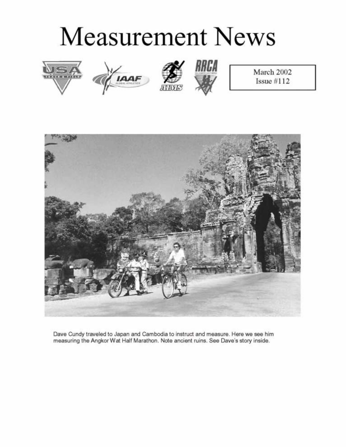# **Measurement News**









March 2002 Issue  $#112$ 



Dave Cundy traveled to Japan and Cambodia to instruct and measure. Here we see him measuring the Angkor Wat Half Marathon. Note ancient ruins. See Dave's story inside.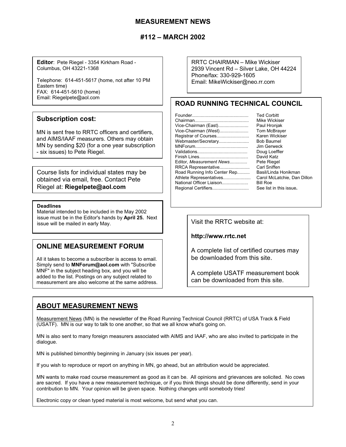## **MEASUREMENT NEWS**

## **#112 – MARCH 2002**

**Editor**: Pete Riegel - 3354 Kirkham Road - Columbus, OH 43221-1368

Telephone: 614-451-5617 (home, not after 10 PM Eastern time) FAX: 614-451-5610 (home) Email: Riegelpete@aol.com

#### **Subscription cost:**

MN is sent free to RRTC officers and certifiers, and AIMS/IAAF measurers. Others may obtain MN by sending \$20 (for a one year subscription - six issues) to Pete Riegel.

Course lists for individual states may be obtained via email, free. Contact Pete Riegel at: **Riegelpete@aol.com**

#### **Deadlines**

Material intended to be included in the May 2002 issue must be in the Editor's hands by **April 25.** Next issue must be mailed in early May.

#### **ONLINE MEASUREMENT FORUM**

All it takes to become a subscriber is access to email. Simply send to **MNForum@aol.com** with "Subscribe MNF" in the subject heading box, and you will be added to the list. Postings on any subject related to measurement are also welcome at the same address. RRTC CHAIRMAN – Mike Wickiser 2939 Vincent Rd – Silver Lake, OH 44224 Phone/fax: 330-929-1605 Email: MikeWickiser@neo.rr.com

## **ROAD RUNNING TECHNICAL COUNCIL**

| <b>Ted Corbitt</b>          |
|-----------------------------|
| Mike Wickiser               |
| Paul Hronjak                |
| Tom McBrayer                |
| Karen Wickiser              |
| <b>Bob Baumel</b>           |
| Jim Gerweck                 |
| Doug Loeffler               |
| David Katz                  |
| Pete Riegel                 |
| Carl Sniffen                |
| Basil/Linda Honikman        |
| Carol McLatchie, Dan Dillon |
| <b>Bill Roe</b>             |
| See list in this issue.     |
|                             |

**http://www.rrtc.net**

A complete list of certified courses may be downloaded from this site.

A complete USATF measurement book can be downloaded from this site.

## **ABOUT MEASUREMENT NEWS**

Measurement News (MN) is the newsletter of the Road Running Technical Council (RRTC) of USA Track & Field (USATF). MN is our way to talk to one another, so that we all know what's going on.

MN is also sent to many foreign measurers associated with AIMS and IAAF, who are also invited to participate in the dialogue.

MN is published bimonthly beginning in January (six issues per year).

If you wish to reproduce or report on anything in MN, go ahead, but an attribution would be appreciated.

MN wants to make road course measurement as good as it can be. All opinions and grievances are solicited. No cows are sacred. If you have a new measurement technique, or if you think things should be done differently, send in your contribution to MN. Your opinion will be given space. Nothing changes until somebody tries!

Electronic copy or clean typed material is most welcome, but send what you can.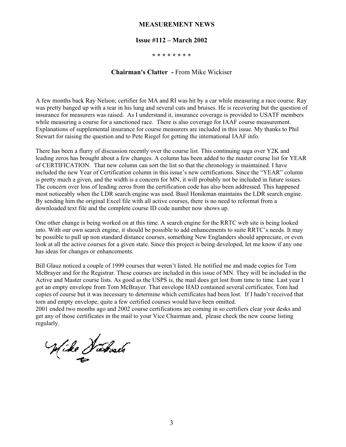#### **MEASUREMENT NEWS**

#### **Issue #112 – March 2002**

**\* \* \* \* \* \* \* \***

#### **Chairman's Clatter -** From Mike Wickiser

A few months back Ray Nelson; certifier for MA and RI was hit by a car while measuring a race course. Ray was pretty banged up with a tear in his lung and several cuts and bruises. He is recovering but the question of insurance for measurers was raised. As I understand it, insurance coverage is provided to USATF members while measuring a course for a sanctioned race. There is also coverage for IAAF course measurement. Explanations of supplemental insurance for course measurers are included in this issue. My thanks to Phil Stewart for raising the question and to Pete Riegel for getting the international IAAF info.

There has been a flurry of discussion recently over the course list. This continuing saga over Y2K and leading zeros has brought about a few changes. A column has been added to the master course list for YEAR of CERTIFICATION. That new column can sort the list so that the chronology is maintained. I have included the new Year of Certification column in this issue's new certifications. Since the "YEAR" column is pretty much a given, and the width is a concern for MN, it will probably not be included in future issues. The concern over loss of leading zeros from the certification code has also been addressed. This happened most noticeably when the LDR search engine was used. Basil Honikman maintains the LDR search engine. By sending him the original Excel file with all active courses, there is no need to reformat from a downloaded text file and the complete course ID code number now shows up.

One other change is being worked on at this time. A search engine for the RRTC web site is being looked into. With our own search engine, it should be possible to add enhancements to suite RRTC's needs. It may be possible to pull up non standard distance courses, something New Englanders should appreciate, or even look at all the active courses for a given state. Since this project is being developed, let me know if any one has ideas for changes or enhancements.

Bill Glauz noticed a couple of 1999 courses that weren't listed. He notified me and made copies for Tom McBrayer and for the Registrar. These courses are included in this issue of MN. They will be included in the Active and Master course lists. As good as the USPS is, the mail does get lost from time to time. Last year I got an empty envelope from Tom McBrayer. That envelope HAD contained several certificates. Tom had copies of course but it was necessary to determine which certificates had been lost. If I hadn't received that torn and empty envelope, quite a few certified courses would have been omitted.

2001 ended two months ago and 2002 course certifications are coming in so certifiers clear your desks and get any of those certificates in the mail to your Vice Chairman and, please check the new course listing regularly.

Wike Warner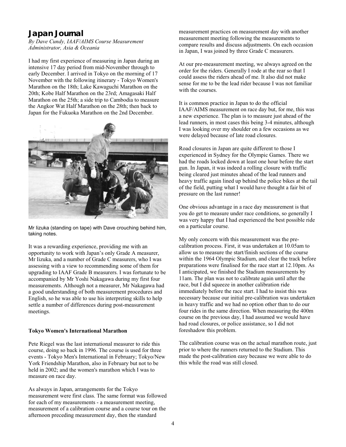## **Japan Journal**

*By Dave Cundy, IAAF/AIMS Course Measurement Administrator, Asia & Oceania*

I had my first experience of measuring in Japan during an intensive 17 day period from mid-November through to early December. I arrived in Tokyo on the morning of 17 November with the following itinerary - Tokyo Women's Marathon on the 18th; Lake Kawaguchi Marathon on the 20th; Kobe Half Marathon on the 23rd; Amagasaki Half Marathon on the 25th; a side trip to Cambodia to measure the Angkor Wat Half Marathon on the 28th; then back to Japan for the Fukuoka Marathon on the 2nd December.



Mr Iizuka (standing on tape) with Dave crouching behind him, taking notes.

It was a rewarding experience, providing me with an opportunity to work with Japan's only Grade A measurer, Mr Iizuka, and a number of Grade C measurers, who I was assessing with a view to recommending some of them for upgrading to IAAF Grade B measurers. I was fortunate to be accompanied by Mr Yoshi Nakagawa during my first four measurements. Although not a measurer, Mr Nakagawa had a good understanding of both measurement procedures and English, so he was able to use his interpreting skills to help settle a number of differences during post-measurement meetings.

#### **Tokyo Women's International Marathon**

Pete Riegel was the last international measurer to ride this course, doing so back in 1996. The course is used for three events - Tokyo Men's International in February; Tokyo/New York Friendship Marathon, also in February but not to be held in 2002; and the women's marathon which I was to measure on race day.

As always in Japan, arrangements for the Tokyo measurement were first class. The same format was followed for each of my measurements - a measurement meeting, measurement of a calibration course and a course tour on the afternoon preceding measurement day, then the standard

measurement practices on measurement day with another measurement meeting following the measurements to compare results and discuss adjustments. On each occasion in Japan, I was joined by three Grade C measurers.

At our pre-measurement meeting, we always agreed on the order for the riders. Generally I rode at the rear so that I could assess the riders ahead of me. It also did not make sense for me to be the lead rider because I was not familiar with the courses.

It is common practice in Japan to do the official IAAF/AIMS measurement on race day but, for me, this was a new experience. The plan is to measure just ahead of the lead runners, in most cases this being 3-4 minutes, although I was looking over my shoulder on a few occasions as we were delayed because of late road closures.

Road closures in Japan are quite different to those I experienced in Sydney for the Olympic Games. There we had the roads locked down at least one hour before the start gun. In Japan, it was indeed a rolling closure with traffic being cleared just minutes ahead of the lead runners and heavy traffic again lined up behind the police bikes at the tail of the field, putting what I would have thought a fair bit of pressure on the last runner!

One obvious advantage in a race day measurement is that you do get to measure under race conditions, so generally I was very happy that I had experienced the best possible ride on a particular course.

My only concern with this measurement was the precalibration process. First, it was undertaken at 10.05am to allow us to measure the start/finish sections of the course within the 1964 Olympic Stadium, and clear the track before preparations were finalised for the race start at 12.10pm. As I anticipated, we finished the Stadium measurements by 11am. The plan was not to calibrate again until after the race, but I did squeeze in another calibration ride immediately before the race start. I had to insist this was necessary because our initial pre-calibration was undertaken in heavy traffic and we had no option other than to do our four rides in the same direction. When measuring the 400m course on the previous day, I had assumed we would have had road closures, or police assistance, so I did not foreshadow this problem.

The calibration course was on the actual marathon route, just prior to where the runners returned to the Stadium. This made the post-calibration easy because we were able to do this while the road was still closed.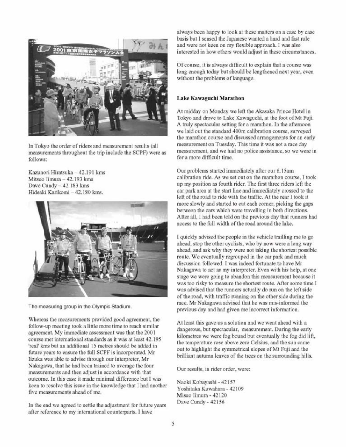

In Tokyo the order of riders and measurement results (all measurements throughout the trip include the SCPF) were as follows:

Kazunori Hiratsuka - 42.191 kms Mitsuo Iimura  $-42.193$  kms Dave Cundy - 42.183 kms Hideaki Karikomi - 42.180 kms.



The measuring group in the Olympic Stadium.

Whereas the measurements provided good agreement, the follow-up meeting took a little more time to reach similar agreement. My immediate assessment was that the 2001 course met international standards as it was at least 42.195 'real' kms but an additional 15 metres should be added in future years to ensure the full SCPF is incorporated. Mr lizuka was able to advise through our interpreter, Mr Nakagawa, that he had been trained to average the four measurements and then adjust in accordance with that outcome. In this case it made minimal difference but I was keen to resolve this issue in the knowledge that I had another five measurements ahead of me.

In the end we agreed to settle the adjustment for future years after reference to my international counterparts. I have

always been happy to look at these matters on a case by case basis but I sensed the Japanese wanted a hard and fast rule and were not keen on my flexible approach. I was also interested in how others would adjust in these circumstances.

Of course, it is always difficult to explain that a course was long enough today but should be lengthened next year, even without the problems of language.

#### Lake Kawaguchi Marathon

At midday on Monday we left the Akasaka Prince Hotel in Tokyo and drove to Lake Kawaguchi, at the foot of Mt Fuji. A truly spectacular setting for a marathon. In the afternoon we laid out the standard 400m calibration course, surveyed the marathon course and discussed arrangements for an early measurement on Tuesday. This time it was not a race day measurement, and we had no police assistance, so we were in for a more difficult time.

Our problems started immediately after our 6.15am calibration ride. As we set out on the marathon course, I took up my position as fourth rider. The first three riders left the car park area at the start line and immediately crossed to the left of the road to ride with the traffic. At the rear I took it more slowly and started to cut each corner, picking the gaps between the cars which were travelling in both directions. After all, I had been told on the previous day that runners had access to the full width of the road around the lake.

I quickly advised the people in the vehicle trailling me to go ahead, stop the other cyclists, who by now were a long way ahead, and ask why they were not taking the shortest possible route. We eventually regrouped in the car park and much discussion followed. I was indeed fortunate to have Mr Nakagawa to act as my interpreter. Even with his help, at one stage we were going to abandon this measurement because it was too risky to measure the shortest route. After some time I was advised that the runners actually do run on the left side of the road, with traffic running on the other side during the race. Mr Nakagawa advised that he was mis-informed the previous day and had given me incorrect information.

At least this gave us a solution and we went ahead with a dangerous, but spectacular, measurement. During the early kilometres we were fog bound but eventually the fog did lift. the temperature rose above zero Celsius, and the sun came out to highlight the symmetrical slopes of Mt Fuji and the brilliant autumn leaves of the trees on the surrounding hills.

Our results, in rider order, were:

Naoki Kobayashi - 42157 Yoshitaka Kuwahara - 42109 Misuo Iimura - 42120 Dave Cundy - 42156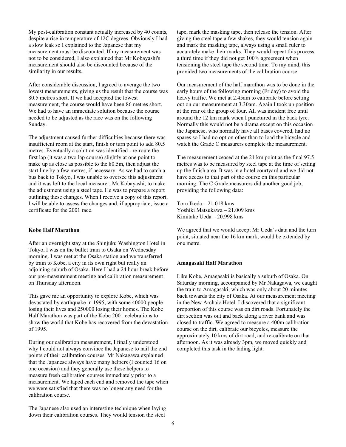My post-calibration constant actually increased by 40 counts, despite a rise in temperature of 12C degrees. Obviously I had a slow leak so I explained to the Japanese that my measurement must be discounted. If my measurement was not to be considered, I also explained that Mr Kobayashi's measurement should also be discounted because of the similarity in our results.

After considerable discussion, I agreed to average the two lowest measurements, giving us the result that the course was 80.5 metres short. If we had accepted the lowest measurement, the course would have been 86 metres short. We had to have an immediate solution because the course needed to be adjusted as the race was on the following Sunday.

The adjustment caused further difficulties because there was insufficient room at the start, finish or turn point to add 80.5 metres. Eventually a solution was identified - re-route the first lap (it was a two lap course) slightly at one point to make up as close as possible to the 80.5m, then adjust the start line by a few metres, if necessary. As we had to catch a bus back to Tokyo, I was unable to oversee this adjustment and it was left to the local measurer, Mr Kobayashi, to make the adjustment using a steel tape. He was to prepare a report outlining these changes. When I receive a copy of this report, I will be able to assess the changes and, if appropriate, issue a certificate for the 2001 race.

#### **Kobe Half Marathon**

After an overnight stay at the Shinjuku Washington Hotel in Tokyo, I was on the bullet train to Osaka on Wednesday morning. I was met at the Osaka station and we transferred by train to Kobe, a city in its own right but really an adjoining suburb of Osaka. Here I had a 24 hour break before our pre-measurement meeting and calibration measurement on Thursday afternoon.

This gave me an opportunity to explore Kobe, which was devastated by earthquake in 1995, with some 40000 people losing their lives and 250000 losing their homes. The Kobe Half Marathon was part of the Kobe 2001 celebrations to show the world that Kobe has recovered from the devastation of 1995.

During our calibration measurement, I finally understood why I could not always convince the Japanese to nail the end points of their calibration courses. Mr Nakagawa explained that the Japanese always have many helpers (I counted 16 on one occasion) and they generally use these helpers to measure fresh calibration courses immediately prior to a measurement. We taped each end and removed the tape when we were satisfied that there was no longer any need for the calibration course.

The Japanese also used an interesting technique when laying down their calibration courses. They would tension the steel

tape, mark the masking tape, then release the tension. After giving the steel tape a few shakes, they would tension again and mark the masking tape, always using a small ruler to accurately make their marks. They would repeat this process a third time if they did not get 100% agreement when tensioning the steel tape the second time. To my mind, this provided two measurements of the calibration course.

Our measurement of the half marathon was to be done in the early hours of the following morning (Friday) to avoid the heavy traffic. We met at 2.45am to calibrate before setting out on our measurement at 3.30am. Again I took up position at the rear of the group of four. All was incident free until around the 12 km mark when I punctured in the back tyre. Normally this would not be a drama except on this occasion the Japanese, who normally have all bases covered, had no spares so I had no option other than to load the bicycle and watch the Grade C measurers complete the measurement.

The measurement ceased at the 21 km point as the final 97.5 metres was to be measured by steel tape at the time of setting up the finish area. It was in a hotel courtyard and we did not have access to that part of the course on this particular morning. The C Grade measurers did another good job, providing the following data:

Toru Ikeda – 21.018 kms Yoshiki Matsukawa – 21.009 kms Kimitake Ueda – 20.998 kms

We agreed that we would accept Mr Ueda's data and the turn point, situated near the 16 km mark, would be extended by one metre.

#### **Amagasaki Half Marathon**

Like Kobe, Amagasaki is basically a suburb of Osaka. On Saturday morning, accompanied by Mr Nakagawa, we caught the train to Amagasaki, which was only about 20 minutes back towards the city of Osaka. At our measurement meeting in the New Archaic Hotel, I discovered that a significant proportion of this course was on dirt roads. Fortunately the dirt section was out and back along a river bank and was closed to traffic. We agreed to measure a 400m calibration course on the dirt, calibrate our bicycles, measure the approximately 10 kms of dirt road, and re-calibrate on that afternoon. As it was already 3pm, we moved quickly and completed this task in the fading light.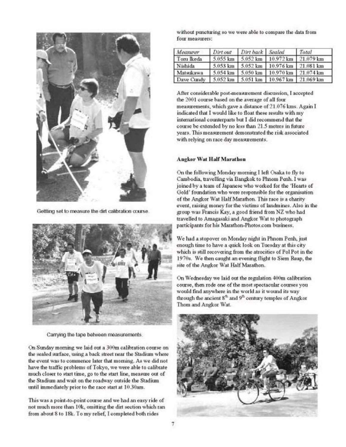

Gettting set to measure the dirt calibration course.



Carrying the tape between measurements.

On Sunday morning we laid out a 300m calibration course on the sealed surface, using a back street near the Stadium where the event was to commence later that morning. As we did not have the traffic problems of Tokyo, we were able to calibrate much closer to start time, go to the start line, measure out of the Stadium and wait on the roadway outside the Stadium until immediately prior to the race start at 10.30am.

This was a point-to-point course and we had an easy ride of not much more than 10k, omitting the dirt section which ran from about 8 to 18k. To my relief, I completed both rides

without puncturing so we were able to compare the data from four measurers:

| Measurer   | Dirtout | Dirt back Sealed |                                             | Total |
|------------|---------|------------------|---------------------------------------------|-------|
| Toru Ikeda |         |                  | 5.055 km 5.052 km 10.972 km 21.079 km       |       |
| Nishida    |         |                  | 5.053 km   5.052 km   10.976 km   21.081 km |       |
| Matsukawa  |         |                  | 5.054 km 5.050 km 10.970 km 21.074 km       |       |
| Dave Cundy |         |                  | 5.052 km 5.051 km 10.967 km 21.069 km       |       |

After considerable post-measurement discussion, I accepted the 2001 course based on the average of all four measurements, which gave a distance of 21.076 kms. Again I indicated that I would like to float these results with my international counterparts but I did recommend that the course be extended by no less than 21.5 metres in future years. This measurement demonstrated the risk associated with relying on race day measurements.

#### **Angkor Wat Half Marathon**

On the following Monday morning I left Osaka to fly to Cambodia, travelling via Bangkok to Phnom Penh. I was joined by a team of Japanese who worked for the 'Hearts of Gold' foundation who were responsible for the organisation of the Angkor Wat Half Marathon. This race is a charity event, raising money for the victims of landmines. Also in the group was Francis Kay, a good friend from NZ who had travelled to Amagasaki and Angkor Wat to photograph participants for his Marathon-Photos.com business.

We had a stopover on Monday night in Phnom Penh, just enough time to have a quick look on Tuesday at this city which is still recovering from the atrocities of Pol Pot in the 1970s. We then caught an evening flight to Siem Reap, the site of the Angkor Wat Half Marathon.

On Wednesday we laid out the regulation 400m calibration course, then rode one of the most spectacular courses you would find anywhere in the world as it wound its way through the ancient 8<sup>th</sup> and 9<sup>th</sup> century temples of Angkor Thom and Angkor Wat.

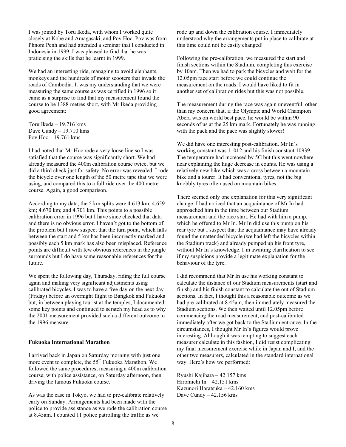I was joined by Toru Ikeda, with whom I worked quite closely at Kobe and Amagasaki, and Pov Hoc. Pov was from Phnom Penh and had attended a seminar that I conducted in Indonesia in 1999. I was pleased to find that he was praticising the skills that he learnt in 1999.

We had an interesting ride, managing to avoid elephants, monkeys and the hundreds of motor scooters that invade the roads of Cambodia. It was my understanding that we were measuring the same course as was certified in 1996 so it came as a surprise to find that my measurement found the course to be 1388 metres short, with Mr Ikeda providing good agreement:

Toru Ikeda – 19.716 kms Dave Cundy – 19.710 kms Pov Hoc – 19.761 kms

I had noted that Mr Hoc rode a very loose line so I was satisfied that the course was significantly short. We had already measured the 400m calibration course twice, but we did a third check just for safety. No error was revealed. I rode the bicycle over one length of the 50 metre tape that we were using, and compared this to a full ride over the 400 metre course. Again, a good comparison.

According to my data, the 5 km splits were 4.613 km; 4.659 km; 4.670 km; and 4.701 km. This points to a possible calibration error in 1996 but I have since checked that data and there is no obvious error. I haven't got to the bottom of the problem but I now suspect that the turn point, which falls between the start and 5 km has been incorrectly marked and possibly each 5 km mark has also been misplaced. Reference points are difficult with few obvious references in the jungle surrounds but I do have some reasonable references for the future.

We spent the following day, Thursday, riding the full course again and making very significant adjustments using calibrated bicycles. I was to have a free day on the next day (Friday) before an overnight flight to Bangkok and Fukuoka but, in between playing tourist at the temples, I documented some key points and continued to scratch my head as to why the 2001 measurement provided such a different outcome to the 1996 measure.

#### **Fukuoka International Marathon**

I arrived back in Japan on Saturday morning with just one more event to complete, the 55<sup>th</sup> Fukuoka Marathon. We followed the same procedures, measuring a 400m calibration course, with police assistance, on Saturday afternoon, then driving the famous Fukuoka course.

As was the case in Tokyo, we had to pre-calibrate relatively early on Sunday. Arrangements had been made with the police to provide assistance as we rode the calibration course at 8.45am. I counted 11 police patrolling the traffic as we

rode up and down the calibration course. I immediately understood why the arrangements put in place to calibrate at this time could not be easily changed!

Following the pre-calibration, we measured the start and finish sections within the Stadium, completing this exercise by 10am. Then we had to park the bicycles and wait for the 12.05pm race start before we could continue the measurement on the roads. I would have liked to fit in another set of calibration rides but this was not possible.

The measurement during the race was again uneventful, other than my concern that, if the Olympic and World Champion Abera was on world best pace, he would be within 90 seconds of us at the 25 km mark. Fortunately he was running with the pack and the pace was slightly slower!

We did have one interesting post-calibration. Mr In's working constant was 11012 and his finish constant 10939. The temperature had increased by 5C but this went nowhere near explaining the huge decrease in counts. He was using a relatively new bike which was a cross between a mountain bike and a tourer. It had conventional tyres, not the big knobbly tyres often used on mountain bikes.

There seemed only one explanation for this very significant change. I had noticed that an acquaintance of Mr In had approached him in the time between our Stadium measurement and the race start. He had with him a pump, which he offered to Mr In. Mr In did use this pump on his rear tyre but I suspect that the acquaintance may have already found the unattended bicycle (we had left the bicycles within the Stadium track) and already pumped up his front tyre, without Mr In's knowledge. I'm awaiting clarification to see if my suspicions provide a legitimate explanation for the behaviour of the tyre.

I did recommend that Mr In use his working constant to calculate the distance of our Stadium measurements (start and finish) and his finish constant to calculate the out of Stadium sections. In fact, I thought this a reasonable outcome as we had pre-calibrated at 8.45am, then immediately measured the Stadium sections. We then waited until 12.05pm before commencing the road measurement, and post-calibrated immediately after we got back to the Stadium entrance. In the circumstances, I thought Mr In's figures would prove interesting. Although it was tempting to suggest each measurer calculate in this fashion, I did resist complicating my final measurement exercise while in Japan and I, and the other two measurers, calculated in the standard international way. Here's how we performed:

Ryushi Kajihara – 42.157 kms Hiromichi In – 42.151 kms Kazunori Haratsuka – 42.160 kms Dave Cundy – 42.156 kms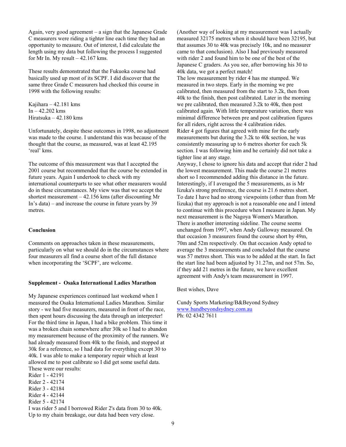Again, very good agreement – a sign that the Japanese Grade C measurers were riding a tighter line each time they had an opportunity to measure. Out of interest, I did calculate the length using my data but following the process I suggested for Mr In. My result  $-42.167$  kms.

These results demonstrated that the Fukuoka course had basically used up most of its SCPF. I did discover that the same three Grade C measurers had checked this course in 1998 with the following results:

Kajihara – 42.181 kms  $In - 42.202$  kms Hiratsuka – 42.180 kms

Unfortunately, despite these outcomes in 1998, no adjustment was made to the course. I understand this was because of the thought that the course, as measured, was at least 42.195 'real' kms.

The outcome of this measurement was that I accepted the 2001 course but recommended that the course be extended in future years. Again I undertook to check with my international counterparts to see what other measurers would do in these circumstances. My view was that we accept the shortest measurement – 42.156 kms (after discounting Mr In's data) – and increase the course in future years by 39 metres.

#### **Conclusion**

Comments on approaches taken in these measurements, particularly on what we should do in the circumstances where four measurers all find a course short of the full distance when incorporating the 'SCPF', are welcome.

#### **Supplement - Osaka International Ladies Marathon**

My Japanese experiences continued last weekend when I measured the Osaka International Ladies Marathon. Similar story - we had five measurers, measured in front of the race, then spent hours discussing the data through an interpreter! For the third time in Japan, I had a bike problem. This time it was a broken chain somewhere after 30k so I had to abandon my measurement because of the proximity of the runners. We had already measured from 40k to the finish, and stopped at 30k for a reference, so I had data for everything except 30 to 40k. I was able to make a temporary repair which at least allowed me to post calibrate so I did get some useful data. These were our results:

Rider 1 - 42191 Rider 2 - 42174 Rider 3 - 42184 Rider 4 - 42144 Rider 5 - 42174

I was rider 5 and I borrowed Rider 2's data from 30 to 40k. Up to my chain breakage, our data had been very close.

(Another way of looking at my measurement was I actually measured 32175 metres when it should have been 32195, but that assumes 30 to 40k was precisely 10k, and no measurer came to that conclusion). Also I had previously measured with rider 2 and found him to be one of the best of the Japanese C graders. As you see, after borrowing his 30 to 40k data, we got a perfect match!

The low measurement by rider 4 has me stumped. We measured in two steps. Early in the morning we pre calibrated, then measured from the start to 3.2k, then from 40k to the finish, then post calibrated. Later in the morning we pre calibrated, then measured 3.2k to 40k, then post calibrated again. With little temperature variation, there was minimal difference between pre and post calibration figures for all riders, right across the 4 calibration rides. Rider 4 got figures that agreed with mine for the early measurements but during the 3.2k to 40k section, he was consistently measuring up to 6 metres shorter for each 5k section. I was following him and he certainly did not take a tighter line at any stage.

Anyway, I chose to ignore his data and accept that rider 2 had the lowest measurement. This made the course 21 metres short so I recommended adding this distance in the future. Interestingly, if I averaged the 5 measurements, as is Mr Iizuka's strong preference, the course is 21.6 metres short. To date I have had no strong viewpoints (other than from Mr Iizuka) that my approach is not a reasonable one and I intend to continue with this procedure when I measure in Japan. My next measurement is the Nagoya Women's Marathon. There is another interesting sideline. The course seems unchanged from 1997, when Andy Galloway measured. On that occasion 3 measurers found the course short by 49m, 70m and 52m respectively. On that occasion Andy opted to average the 3 measurements and concluded that the course was 57 metres short. This was to be added at the start. In fact the start line had been adjusted by 31.27m, and not 57m. So, if they add 21 metres in the future, we have excellent agreement with Andy's team measurement in 1997.

Best wishes, Dave

Cundy Sports Marketing/B&Beyond Sydney www.bandbeyondsydney.com.au Ph: 02 4342 7611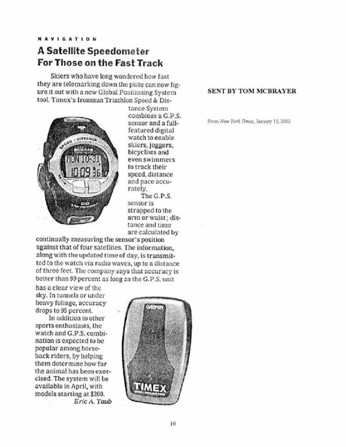# **A Satellite Speedometer** For Those on the Fast Track

Skiers who have long wondered how fast they are telemarking down the piste can now figure it out with a new Global Positioning System tool. Timex's Ironman Triathlon Speed & Dis-



tance System combines a G.P.S. sensor and a fullfeatured digital watch to enable skiers, joggers, bicyclists and even swimmers to track their speed, distance and pace accurately.

The G.P.S. sensor is strapped to the arm or waist; distance and time are calculated by

continually measuring the sensor's position against that of four satellites. The information, along with the updated time of day, is transmitted to the watch via radio waves, up to a distance of three feet. The company says that accuracy is better than 99 percent as long as the G.P.S. unit

has a clear view of the sky. In tunnels or under heavy foliage, accuracy drops to 95 percent.

In addition to other sports enthusiasts, the watch and G.P.S. combination is expected to be popular among horseback riders, by helping them determine how far the animal has been exercised. The system will be available in April, with models starting at \$200. Eric A. Taub



#### **SENT BY TOM MCBRAYER**

From New York Times, January 15, 2002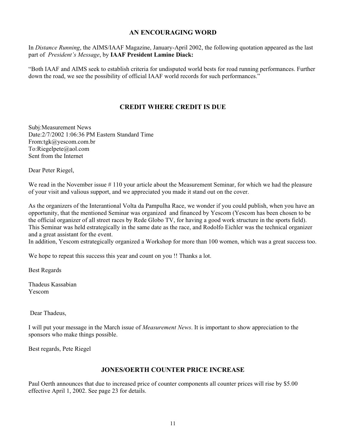#### **AN ENCOURAGING WORD**

In *Distance Running*, the AIMS/IAAF Magazine, January-April 2002, the following quotation appeared as the last part of *President's Message*, by **IAAF President Lamine Diack:**

"Both IAAF and AIMS seek to establish criteria for undisputed world bests for road running performances. Further down the road, we see the possibility of official IAAF world records for such performances."

## **CREDIT WHERE CREDIT IS DUE**

Subj:Measurement News Date:2/7/2002 1:06:36 PM Eastern Standard Time From:tgk@yescom.com.br To:Riegelpete@aol.com Sent from the Internet

Dear Peter Riegel,

We read in the November issue # 110 your article about the Measurement Seminar, for which we had the pleasure of your visit and valious support, and we appreciated you made it stand out on the cover.

As the organizers of the Interantional Volta da Pampulha Race, we wonder if you could publish, when you have an opportunity, that the mentioned Seminar was organized and financed by Yescom (Yescom has been chosen to be the official organizer of all street races by Rede Globo TV, for having a good work structure in the sports field). This Seminar was held estrategically in the same date as the race, and Rodolfo Eichler was the technical organizer and a great assistant for the event.

In addition, Yescom estrategically organized a Workshop for more than 100 women, which was a great success too.

We hope to repeat this success this year and count on you !! Thanks a lot.

Best Regards

Thadeus Kassabian Yescom

Dear Thadeus,

I will put your message in the March issue of *Measurement News*. It is important to show appreciation to the sponsors who make things possible.

Best regards, Pete Riegel

#### **JONES/OERTH COUNTER PRICE INCREASE**

Paul Oerth announces that due to increased price of counter components all counter prices will rise by \$5.00 effective April 1, 2002. See page 23 for details.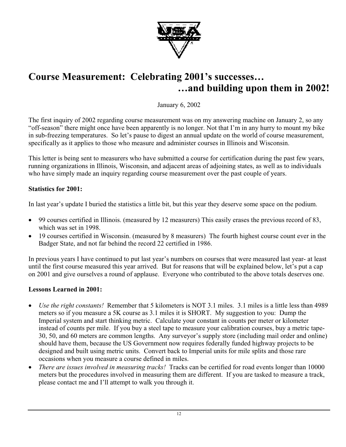

# **Course Measurement: Celebrating 2001's successes… …and building upon them in 2002!**

January 6, 2002

The first inquiry of 2002 regarding course measurement was on my answering machine on January 2, so any "off-season" there might once have been apparently is no longer. Not that I'm in any hurry to mount my bike in sub-freezing temperatures. So let's pause to digest an annual update on the world of course measurement, specifically as it applies to those who measure and administer courses in Illinois and Wisconsin.

This letter is being sent to measurers who have submitted a course for certification during the past few years, running organizations in Illinois, Wisconsin, and adjacent areas of adjoining states, as well as to individuals who have simply made an inquiry regarding course measurement over the past couple of years.

## **Statistics for 2001:**

In last year's update I buried the statistics a little bit, but this year they deserve some space on the podium.

- 99 courses certified in Illinois. (measured by 12 measurers) This easily erases the previous record of 83, which was set in 1998.
- 19 courses certified in Wisconsin. (measured by 8 measurers) The fourth highest course count ever in the Badger State, and not far behind the record 22 certified in 1986.

In previous years I have continued to put last year's numbers on courses that were measured last year- at least until the first course measured this year arrived. But for reasons that will be explained below, let's put a cap on 2001 and give ourselves a round of applause. Everyone who contributed to the above totals deserves one.

## **Lessons Learned in 2001:**

- *Use the right constants!* Remember that 5 kilometers is NOT 3.1 miles. 3.1 miles is a little less than 4989 meters so if you measure a 5K course as 3.1 miles it is SHORT. My suggestion to you: Dump the Imperial system and start thinking metric. Calculate your constant in counts per meter or kilometer instead of counts per mile. If you buy a steel tape to measure your calibration courses, buy a metric tape-30, 50, and 60 meters are common lengths. Any surveyor's supply store (including mail order and online) should have them, because the US Government now requires federally funded highway projects to be designed and built using metric units. Convert back to Imperial units for mile splits and those rare occasions when you measure a course defined in miles.
- *There are issues involved in measuring tracks!* Tracks can be certified for road events longer than 10000 meters but the procedures involved in measuring them are different. If you are tasked to measure a track, please contact me and I'll attempt to walk you through it.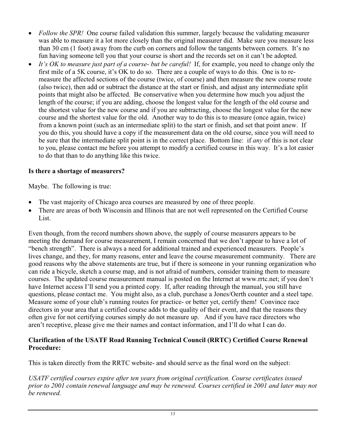- *Follow the SPR!* One course failed validation this summer, largely because the validating measurer was able to measure it a lot more closely than the original measurer did. Make sure you measure less than 30 cm (1 foot) away from the curb on corners and follow the tangents between corners. It's no fun having someone tell you that your course is short and the records set on it can't be adopted.
- x *It's OK to measure just part of a course- but be careful!* If, for example, you need to change only the first mile of a 5K course, it's OK to do so. There are a couple of ways to do this. One is to remeasure the affected sections of the course (twice, of course) and then measure the new course route (also twice), then add or subtract the distance at the start or finish, and adjust any intermediate split points that might also be affected. Be conservative when you determine how much you adjust the length of the course; if you are adding, choose the longest value for the length of the old course and the shortest value for the new course and if you are subtracting, choose the longest value for the new course and the shortest value for the old. Another way to do this is to measure (once again, twice) from a known point (such as an intermediate split) to the start or finish, and set that point anew. If you do this, you should have a copy if the measurement data on the old course, since you will need to be sure that the intermediate split point is in the correct place. Bottom line: if *any* of this is not clear to you, please contact me before you attempt to modify a certified course in this way. It's a lot easier to do that than to do anything like this twice.

## **Is there a shortage of measurers?**

Maybe. The following is true:

- The vast majority of Chicago area courses are measured by one of three people.
- There are areas of both Wisconsin and Illinois that are not well represented on the Certified Course List.

Even though, from the record numbers shown above, the supply of course measurers appears to be meeting the demand for course measurement, I remain concerned that we don't appear to have a lot of "bench strength". There is always a need for additional trained and experienced measurers. People's lives change, and they, for many reasons, enter and leave the course measurement community. There are good reasons why the above statements are true, but if there is someone in your running organization who can ride a bicycle, sketch a course map, and is not afraid of numbers, consider training them to measure courses. The updated course measurement manual is posted on the Internet at www.rrtc.net; if you don't have Internet access I'll send you a printed copy. If, after reading through the manual, you still have questions, please contact me. You might also, as a club, purchase a Jones/Oerth counter and a steel tape. Measure some of your club's running routes for practice- or better yet, certify them! Convince race directors in your area that a certified course adds to the quality of their event, and that the reasons they often give for not certifying courses simply do not measure up. And if you have race directors who aren't receptive, please give me their names and contact information, and I'll do what I can do.

## **Clarification of the USATF Road Running Technical Council (RRTC) Certified Course Renewal Procedure:**

This is taken directly from the RRTC website- and should serve as the final word on the subject:

*USATF certified courses expire after ten years from original certification. Course certificates issued prior to 2001 contain renewal language and may be renewed. Courses certified in 2001 and later may not be renewed.*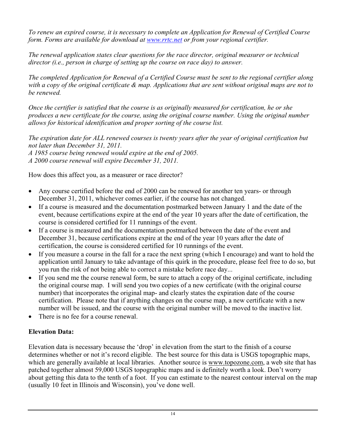*To renew an expired course, it is necessary to complete an Application for Renewal of Certified Course form. Forms are available for download at www.rrtc.net or from your regional certifier.*

*The renewal application states clear questions for the race director, original measurer or technical director (i.e., person in charge of setting up the course on race day) to answer.*

*The completed Application for Renewal of a Certified Course must be sent to the regional certifier along with a copy of the original certificate & map. Applications that are sent without original maps are not to be renewed.*

*Once the certifier is satisfied that the course is as originally measured for certification, he or she produces a new certificate for the course, using the original course number. Using the original number allows for historical identification and proper sorting of the course list.*

*The expiration date for ALL renewed courses is twenty years after the year of original certification but not later than December 31, 2011.*

*A 1985 course being renewed would expire at the end of 2005. A 2000 course renewal will expire December 31, 2011.*

How does this affect you, as a measurer or race director?

- Any course certified before the end of 2000 can be renewed for another ten years- or through December 31, 2011, whichever comes earlier, if the course has not changed.
- If a course is measured and the documentation postmarked between January 1 and the date of the event, because certifications expire at the end of the year 10 years after the date of certification, the course is considered certified for 11 runnings of the event.
- If a course is measured and the documentation postmarked between the date of the event and December 31, because certifications expire at the end of the year 10 years after the date of certification, the course is considered certified for 10 runnings of the event.
- If you measure a course in the fall for a race the next spring (which I encourage) and want to hold the application until January to take advantage of this quirk in the procedure, please feel free to do so, but you run the risk of not being able to correct a mistake before race day...
- If you send me the course renewal form, be sure to attach a copy of the original certificate, including the original course map. I will send you two copies of a new certificate (with the original course number) that incorporates the original map- and clearly states the expiration date of the course certification. Please note that if anything changes on the course map, a new certificate with a new number will be issued, and the course with the original number will be moved to the inactive list.
- There is no fee for a course renewal.

## **Elevation Data:**

Elevation data is necessary because the 'drop' in elevation from the start to the finish of a course determines whether or not it's record eligible. The best source for this data is USGS topographic maps, which are generally available at local libraries. Another source is www.topozone.com, a web site that has patched together almost 59,000 USGS topographic maps and is definitely worth a look. Don't worry about getting this data to the tenth of a foot. If you can estimate to the nearest contour interval on the map (usually 10 feet in Illinois and Wisconsin), you've done well.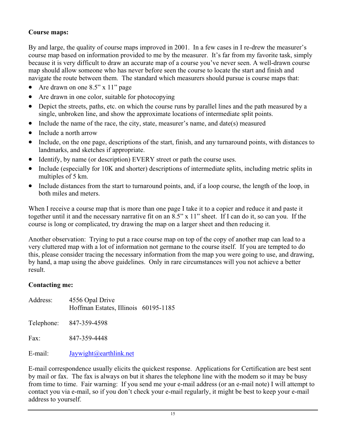## **Course maps:**

By and large, the quality of course maps improved in 2001. In a few cases in I re-drew the measurer's course map based on information provided to me by the measurer. It's far from my favorite task, simply because it is very difficult to draw an accurate map of a course you've never seen. A well-drawn course map should allow someone who has never before seen the course to locate the start and finish and navigate the route between them. The standard which measurers should pursue is course maps that:

- Are drawn on one  $8.5$ " x 11" page
- $\bullet$  Are drawn in one color, suitable for photocopying
- Depict the streets, paths, etc. on which the course runs by parallel lines and the path measured by a single, unbroken line, and show the approximate locations of intermediate split points.
- Include the name of the race, the city, state, measurer's name, and date(s) measured
- $\bullet$  Include a north arrow
- Include, on the one page, descriptions of the start, finish, and any turnaround points, with distances to landmarks, and sketches if appropriate.
- Identify, by name (or description) EVERY street or path the course uses.
- Include (especially for 10K and shorter) descriptions of intermediate splits, including metric splits in multiples of 5 km.
- Include distances from the start to turnaround points, and, if a loop course, the length of the loop, in both miles and meters.

When I receive a course map that is more than one page I take it to a copier and reduce it and paste it together until it and the necessary narrative fit on an 8.5" x 11" sheet. If I can do it, so can you. If the course is long or complicated, try drawing the map on a larger sheet and then reducing it.

Another observation: Trying to put a race course map on top of the copy of another map can lead to a very cluttered map with a lot of information not germane to the course itself. If you are tempted to do this, please consider tracing the necessary information from the map you were going to use, and drawing, by hand, a map using the above guidelines. Only in rare circumstances will you not achieve a better result.

## **Contacting me:**

| Address: | 4556 Opal Drive<br>Hoffman Estates, Illinois 60195-1185 |  |
|----------|---------------------------------------------------------|--|
|          | Telephone: 847-359-4598                                 |  |
| Fax:     | 847-359-4448                                            |  |
| E-mail:  | Jaywight@earthlink.net                                  |  |

E-mail correspondence usually elicits the quickest response. Applications for Certification are best sent by mail or fax. The fax is always on but it shares the telephone line with the modem so it may be busy from time to time. Fair warning: If you send me your e-mail address (or an e-mail note) I will attempt to contact you via e-mail, so if you don't check your e-mail regularly, it might be best to keep your e-mail address to yourself.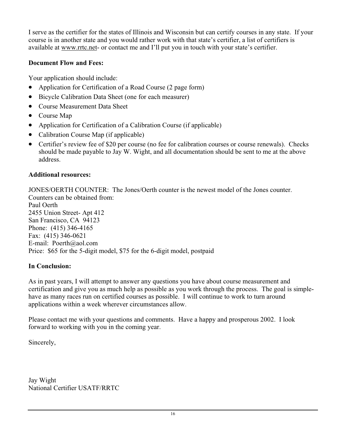I serve as the certifier for the states of Illinois and Wisconsin but can certify courses in any state. If your course is in another state and you would rather work with that state's certifier, a list of certifiers is available at www.rrtc.net- or contact me and I'll put you in touch with your state's certifier.

## **Document Flow and Fees:**

Your application should include:

- Application for Certification of a Road Course (2 page form)
- Bicycle Calibration Data Sheet (one for each measurer)
- Course Measurement Data Sheet
- Course Map
- Application for Certification of a Calibration Course (if applicable)
- Calibration Course Map (if applicable)
- Certifier's review fee of \$20 per course (no fee for calibration courses or course renewals). Checks should be made payable to Jay W. Wight, and all documentation should be sent to me at the above address.

## **Additional resources:**

JONES/OERTH COUNTER: The Jones/Oerth counter is the newest model of the Jones counter. Counters can be obtained from:

Paul Oerth 2455 Union Street- Apt 412 San Francisco, CA 94123 Phone: (415) 346-4165 Fax: (415) 346-0621 E-mail: Poerth@aol.com Price: \$65 for the 5-digit model, \$75 for the 6-digit model, postpaid

## **In Conclusion:**

As in past years, I will attempt to answer any questions you have about course measurement and certification and give you as much help as possible as you work through the process. The goal is simplehave as many races run on certified courses as possible. I will continue to work to turn around applications within a week wherever circumstances allow.

Please contact me with your questions and comments. Have a happy and prosperous 2002. I look forward to working with you in the coming year.

Sincerely,

Jay Wight National Certifier USATF/RRTC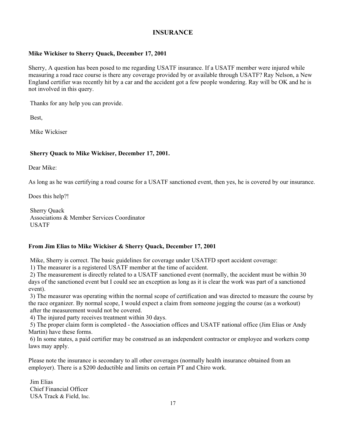#### **INSURANCE**

#### **Mike Wickiser to Sherry Quack, December 17, 2001**

Sherry, A question has been posed to me regarding USATF insurance. If a USATF member were injured while measuring a road race course is there any coverage provided by or available through USATF? Ray Nelson, a New England certifier was recently hit by a car and the accident got a few people wondering. Ray will be OK and he is not involved in this query.

Thanks for any help you can provide.

Best,

Mike Wickiser

#### **Sherry Quack to Mike Wickiser, December 17, 2001.**

Dear Mike:

As long as he was certifying a road course for a USATF sanctioned event, then yes, he is covered by our insurance.

Does this help?!

 Sherry Quack Associations & Member Services Coordinator USATF

#### **From Jim Elias to Mike Wickiser & Sherry Quack, December 17, 2001**

Mike, Sherry is correct. The basic guidelines for coverage under USATFD sport accident coverage:

1) The measurer is a registered USATF member at the time of accident.

 2) The measurement is directly related to a USATF sanctioned event (normally, the accident must be within 30 days of the sanctioned event but I could see an exception as long as it is clear the work was part of a sanctioned event).

 3) The measurer was operating within the normal scope of certification and was directed to measure the course by the race organizer. By normal scope, I would expect a claim from someone jogging the course (as a workout) after the measurement would not be covered.

4) The injured party receives treatment within 30 days.

 5) The proper claim form is completed - the Association offices and USATF national office (Jim Elias or Andy Martin) have these forms.

 6) In some states, a paid certifier may be construed as an independent contractor or employee and workers comp laws may apply.

Please note the insurance is secondary to all other coverages (normally health insurance obtained from an employer). There is a \$200 deductible and limits on certain PT and Chiro work.

 Jim Elias Chief Financial Officer USA Track & Field, Inc.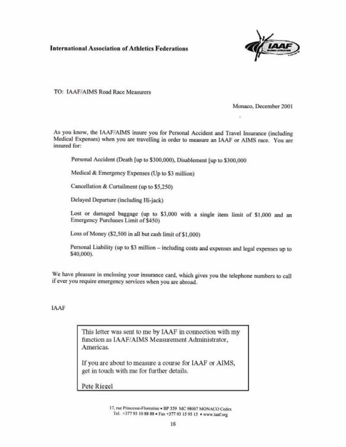#### **International Association of Athletics Federations**



TO: IAAF/AIMS Road Race Measurers

Monaco, December 2001

As you know, the IAAF/AIMS insure you for Personal Accident and Travel Insurance (including Medical Expenses) when you are travelling in order to measure an IAAF or AIMS race. You are insured for:

Personal Accident (Death [up to \$300,000), Disablement [up to \$300,000

Medical & Emergency Expenses (Up to \$3 million)

Cancellation & Curtailment (up to \$5,250)

Delayed Departure (including Hi-jack)

Lost or damaged baggage (up to \$3,000 with a single item limit of \$1,000 and an Emergency Purchases Limit of \$450)

Loss of Money (\$2,500 in all but cash limit of \$1,000)

Personal Liability (up to \$3 million - including costs and expenses and legal expenses up to \$40,000).

We have pleasure in enclosing your insurance card, which gives you the telephone numbers to call if ever you require emergency services when you are abroad.

#### IAAF

This letter was sent to me by IAAF in connection with my function as IAAF/AIMS Measurement Administrator, Americas.

If you are about to measure a course for IAAF or AIMS, get in touch with me for further details.

Pete Riegel

17, rue Princesse-Florestine . BP 359 MC 98007 MONACO Cedex Tel. +377 93 10 88 88 . Fax +377 93 15 95 15 . www.iaaf.org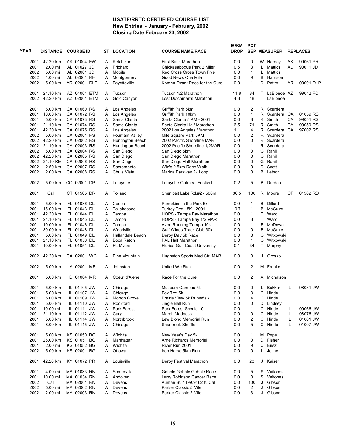#### **USATF/RRTC CERTIFIED COURSE LIST New Entries - January - February, 2002 Closing Date February 23, 2002**

|      |      |                 |                  |    |                        |                               | M/KM        | <b>PCT</b>     |    |                     |    |                 |  |
|------|------|-----------------|------------------|----|------------------------|-------------------------------|-------------|----------------|----|---------------------|----|-----------------|--|
| YEAR |      | <b>DISTANCE</b> | <b>COURSE ID</b> | ST | <b>LOCATION</b>        | <b>COURSE NAME/RACE</b>       | <b>DROP</b> |                |    | <b>SEP MEASURER</b> |    | <b>REPLACES</b> |  |
|      | 2001 | 42.20 km        | AK 01004 FW      | A  | Ketchikan              | <b>First Bank Marathon</b>    | 0.0         | 0              |    | W Harney            | AK | 99061 PR        |  |
|      | 2001 | 2.00 mi         | AL 01027 JD      | A  | Prichard               | Chickasabogue Park 2 Miler    | 0.5         | 3              |    | L Mattics           | AL | 90011 JD        |  |
|      | 2002 | 5.00 mi         | AL 02001 JD      | A  | Mobile                 | Red Cross Cross Town Five     | 0.0         | 1              | L  | Mattics             |    |                 |  |
|      | 2002 | 1.00 mi         | AL 02001 RH      | Α  | Montgomery             | Good News One Mile            | 0.0         | 9              | В  | Harrison            |    |                 |  |
|      | 2002 | 5.00 km         | AR 02001 DLP     | Α  | Fayetteville           | Komen Ozark Race for the Cure | 0.0         | 1              | D  | Potter              | AR | 00001 DLP       |  |
|      | 2001 | 21.10 km        | AZ 01004 ETM     | A  | Tucson                 | Tucson 1/2 Marathon           | 11.8        | 84             |    | T LaBlonde AZ       |    | 99012 FC        |  |
|      | 2002 | 42.20 km        | AZ 02001 ETM     | Α  | Gold Canyon            | Lost Dutchman's Marathon      | 4.3         | 48             |    | T LaBlonde          |    |                 |  |
|      | 2001 | 5.00 km         | CA 01060 RS      | A  | Los Angeles            | Griffith Park 5km             | 0.0         | 2              |    | R Scardera          |    |                 |  |
|      | 2001 | 10.00 km        | CA 01072 RS      | Α  | Los Angeles            | Griffith Park 10km            | 0.0         | $\mathbf{1}$   |    | R Scardera CA       |    | 01059 RS        |  |
|      | 2001 | 5.00 km         | CA 01073 RS      | A  | Santa Clarita          | Santa Clarita 5 KM - 2001     | 0.0         | 8              |    | R Smith             | CA | 99051 RS        |  |
|      | 2001 | 21.10 km        | CA 01074 RS      | A  | Santa Clarita          | Santa Clarita Half Marathon   | 6.5         | 71             |    | R Smith             | CA | 99050 RS        |  |
|      | 2001 | 42.20 km        | CA 01075 RS      | Α  | Los Angeles            | 2002 Los Angeles Marathon     | 1.1         | 4              |    | R Scardera          | CA | 97002 RS        |  |
|      | 2002 | 5.00 km         | CA 02001 RS      | Α  | <b>Fountain Valley</b> | Mile Square Park 5KM          | 0.0         | $\overline{2}$ | R  | Scardera            |    |                 |  |
|      |      | 2002 42.20 km   | CA 02002 RS      | Α  | Huntington Beach       | 2002 Pacific Shoreline MAR    | 0.0         | 0              |    | R Scardera          |    |                 |  |
|      | 2002 | 21.10 km        | CA 02003 RS      | Α  | Huntington Beach       | 2002 Pacific Shoreline 1/2MAR | 0.0         | 1              | R  | Scardera            |    |                 |  |
|      | 2002 | 5.00 km         | CA 02004 RS      | Α  | San Diego              | San Diego 5km                 | 0.0         | 0              |    | G Rahill            |    |                 |  |
|      | 2002 | 42.20 km        | CA 02005 RS      | Α  | San Diego              | San Diego Marathon            | 0.0         | 0              | G  | Rahill              |    |                 |  |
|      | 2002 | 21.10 KM        | CA 02006 RS      | A  | San Diego              | San Diego Half Marathon       | 0.0         | 0              |    | G Rahill            |    |                 |  |
|      | 2002 | 2.50 km         | CA 02007 RS      | A  | Sacramento             | Win's 2.5km Race Walk         | 0.0         | 0              | D  | Scott               |    |                 |  |
|      | 2002 | 2.00 km         | CA 02008 RS      | A  | Chula Vista            | Marina Parkway 2k Loop        | 0.0         | 0              |    | <b>B</b> Letson     |    |                 |  |
|      | 2002 | 5.00 km         | CO 02001 DP      | A  | Lafayette              | Lafayette Oatmeal Festival    | 0.2         | 5              |    | <b>B</b> Durden     |    |                 |  |
|      | 2001 | Cal             | CT 01505 DR      | A  | Tolland                | Shenipsit Lake Rd.#2 - 500m   | 30.5        | 100            |    | R Moore             | CТ | 01502 RD        |  |
|      | 2001 | 5.00 km         | FL 01036 DL      | A  | Cocoa                  | Pumpkins in the Park 5k       | 0.0         | 1              | В  | Dillard             |    |                 |  |
|      | 2001 | 15.00 km        | FL 01043 DL      | A  | Tallahassee            | Turkey Trot 15K - 2001        | $-0.7$      | 1              | B  | McGuire             |    |                 |  |
|      | 2001 | 42.20 km        | FL 01044 DL      | Α  | Tampa                  | HOPS - Tampa Bay Marathon     | 0.0         | 1              | T. | Ward                |    |                 |  |
|      | 2001 | 21.10 km        | FL 01045 DL      | A  | Tampa                  | HOPS - Tampa Bay 1/2 MAR      | 0.0         | 3              |    | T Ward              |    |                 |  |
|      | 2001 | 10.00 km        | FL 01046 DL      | Α  | Tampa                  | Avon Running Tampa 10k        | 0.0         | 1              | E. | McDowell            |    |                 |  |
|      | 2001 | 30.00 km        | FL 01048 DL      | A  | Woodville              | Gulf Winds Track Club 30k     | 0.0         | 0              | В  | McGuire             |    |                 |  |
|      | 2001 | 5.00 km         | FL 01049 DL      | A  | Hallandale Beach       | Derby Day 5k Race             | 0.0         | 8              | G  | Witkowski           |    |                 |  |
|      | 2001 | 21.10 km        | FL 01050 DL      | Α  | Boca Raton             | PAL Half Marathon             | 0.0         | $\mathbf{1}$   | G  | Witkowski           |    |                 |  |
|      | 2001 | 10.00 km        | FL 01051 DL      | A  | Ft. Myers              | Florida Gulf Coast University | 0.1         | 34             |    | T Murphy            |    |                 |  |
|      | 2002 | 42.20 km        | GA 02001 WC      | A  | Pine Mountain          | Hughston Sports Med Ctr. MAR  | 0.0         | $\mathbf 0$    |    | J Grosko            |    |                 |  |
|      | 2002 | 5.00 km         | IA 02001 MF      | A  | Johnston               | United We Run                 | 0.0         | $\overline{2}$ |    | M Franke            |    |                 |  |
|      | 2001 | 5.00 km         | ID 01004 MR      | A  | Coeur d'Alene          | Race For the Cure             | 0.0         | 2              |    | A Michalson         |    |                 |  |
|      | 2001 | 5.00 km         | IL 01105 JW      | Α  | Chicago                | Museum Campus 5k              | 0.0         | 0              | L. | Bakker              | IL | 98031 JW        |  |
|      | 2001 | 5.00 km         | IL 01107 JW      | Α  | Chicago                | Fox Trot 5k                   | 0.0         | 3              | C  | Hinde               |    |                 |  |
|      | 2001 | 5.00 km         | IL 01109 JW      | Α  | Morton Grove           | Prairie View 5k Run/Walk      | 0.0         | 4              | С  | Hinde               |    |                 |  |
|      | 2001 | 5.00 km         | IL 01110 JW      | Α  | Rockford               | Jingle Bell Run               | 0.0         | 0              | D  | Lindsey             |    |                 |  |
|      | 2001 | 10.00 mi        | IL 01111 JW      | Α  | Park Forest            | Park Forest Scenic 10         | 0.0         | 1              | C  | Hinde               | IL | 99066 JW        |  |
|      | 2001 | 21.10 km        | IL 01112 JW      | A  | Cary                   | <b>March Madness</b>          | 0.0         | 0              | C  | Hinde               | IL | 98076 JW        |  |
|      | 2001 | 5.00 km         | IL 01114 JW      | Α  | Northbrook             | Lew Blond Memorial Run        | 0.0         | 2              | С  | Hinde               | IL | 01001 JW        |  |
|      | 2001 | 8.00 km         | IL 01115 JW      | A  | Chicago                | Shamrock Shuffle              | 0.0         | 5              |    | C Hinde             | IL | 01007 JW        |  |
|      | 2001 | 5.00 km         | KS 01050 BG      | A  | Wichita                | New Year's Day 5k             | 0.0         | 1              |    | M Pope              |    |                 |  |
|      | 2001 | 25.00 km        | KS 01051 BG      | Α  | Manhattan              | Arne Richards Memorial        | 0.0         | 0              | D  | Fisher              |    |                 |  |
|      | 2001 | 2.00 mi         | KS 01052 BG      | Α  | Wichita                | River Run 2001                | 0.0         | 9              | С  | Ensz                |    |                 |  |
|      | 2002 | 5.00 km         | KS 02001 BG      | Α  | Ottawa                 | Iron Horse 5km Run            | 0.0         | 0              | L. | Joline              |    |                 |  |
|      | 2001 | 42.20 km        | KY 01072 PR      | A  | Louisville             | Derby Festival Marathon       | 0.0         | 23             |    | J Kaiser            |    |                 |  |
|      | 2001 | 4.00 mi         | MA 01033 RN      | A  | Somerville             | Gobble Gobble Gobble Race     | 0.0         | 5              |    | S Vaitones          |    |                 |  |
|      | 2001 | 10.00 mi        | MA 01034 RN      | Α  | Andover                | Larry Robinson Cancer Race    | 0.0         | 0              |    | S Vaitones          |    |                 |  |
|      | 2002 | Cal             | MA 02001 RN      | Α  | Devens                 | Auman St. 1199.9462 ft. Cal   | 0.0         | 100            | J  | Gibson              |    |                 |  |
|      | 2002 | 5.00 mi         | MA 02002 RN      | Α  | Devens                 | Parker Classic 5 Mile         | 0.0         | 2              | J  | Gibson              |    |                 |  |
|      | 2002 | 2.00 mi         | MA 02003 RN      | Α  | Devens                 | Parker Classic 2 Mile         | 0.0         | 3              | J  | Gibson              |    |                 |  |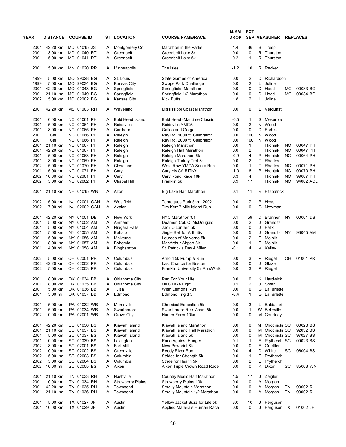| YEAR         | <b>DISTANCE</b>     | <b>COURSE ID</b>           | ST     | <b>LOCATION</b>          | <b>COURSE NAME/RACE</b>                                        | M/KM<br><b>DROP</b> | <b>PCT</b>              |    | <b>SEP MEASURER</b>          |           | <b>REPLACES</b> |
|--------------|---------------------|----------------------------|--------|--------------------------|----------------------------------------------------------------|---------------------|-------------------------|----|------------------------------|-----------|-----------------|
| 2001         | 42.20 km            | MD 01015 JS                | A      | Montgomery Co.           | Marathon in the Parks                                          | 1.4                 | 36                      |    | <b>B</b> Tresp               |           |                 |
| 2001         | 3.00 km             | MD 01040 RT                | Α      | Greenbelt                | Greenbelt Lake 3k                                              | 0.0                 | 0                       |    | R Thurston                   |           |                 |
| 2001         | 5.00 km             | MD 01041 RT                | A      | Greenbelt                | Greenbelt Lake 5k                                              | 0.2                 | 1                       |    | R Thurston                   |           |                 |
| 2001         | 5.00 km             | MN 01020 RR                | A      | Minneapolis              | The Isles                                                      | $-1.2$              | 10                      |    | R Recker                     |           |                 |
| 1999         | 5.00 km             | MO 99028 BG                | A      | St. Louis                | <b>State Games of America</b>                                  | 0.0                 | $\overline{\mathbf{c}}$ | D  | Richardson                   |           |                 |
| 1999         | 5.00 km             | MO 99034 BG                | Α      | <b>Kansas City</b>       | Swope Park Challenge                                           | 0.0                 | $\overline{2}$          | L. | Joline                       |           |                 |
| 2001         | 42.20 km            | MO 01048 BG                | Α      | Springfield              | Springfield Marathon                                           | 0.0                 | 0                       | D  | Hood                         | MO        | 00033 BG        |
| 2001         | 21.10 km            | MO 01049 BG                | Α      | Springfield              | Springfield 1/2 Marathon                                       | 0.0                 | 0                       | D  | Hood                         | MO        | 00034 BG        |
| 2002         | 5.00 km             | MO 02002 BG                | A      | Kansas City              | <b>Kick Butts</b>                                              | 1.8                 | $\overline{2}$          | L. | Joline                       |           |                 |
| 2001         | 42.20 km            | MS 01003 RH                | A      | Waveland                 | Mississippi Coast Marathon                                     | 0.0                 | 0                       |    | L Vergunst                   |           |                 |
| 2001         | 10.00 km            | NC 01061 PH                | A      | <b>Bald Head Island</b>  | <b>Bald Head -Maritime Classic</b>                             | -0.5                | 1                       |    | S Meserole                   |           |                 |
| 2001         | 5.00 km             | NC 01064 PH                | A      | Reidsville               | Reidsville YMCA                                                | 0.0                 | $\overline{2}$          | N  | Wood                         |           |                 |
| 2001         | 8.00 km             | NC 01065 PH                | A      | Carrboro                 | Gallop and Gorge                                               | 0.0                 | 0                       |    | D Forbis                     |           |                 |
| 2001         | Cal                 | NC 01066 PH                | A      | Raleigh                  | Ray Rd. 1000 ft. Calibration                                   | 0.0                 | 100                     | N  | Wood                         |           |                 |
| 2001         | Cal                 | NC 01066 PH                | A      | Raleigh                  | Ray Rd. 2000 ft. Calibration                                   | 0.0                 | 100                     |    | N Wood                       |           |                 |
| 2001         | 21.10 km            | NC 01067 PH                | A      | Raleigh                  | Raleigh Marathon                                               | 0.0                 | $\mathbf{1}$            | P  | Hronjak                      | <b>NC</b> | 00047 PH        |
| 2001         | 42.20 km            | NC 01067 PH                | A      | Raleigh                  | Raleigh Half Marathon                                          | 0.0                 | 2                       | P  | Hronjak                      | <b>NC</b> | 00047 PH        |
| 2001         | 5.00 km             | NC 01068 PH                | A      | Raleigh                  | Raleigh Marathon 5k                                            | -0.9                | 4                       | Ρ  | Hronjak                      | <b>NC</b> | 00064 PH        |
| 2001         | 8.00 km             | NC 01069 PH                | A      | Raleigh                  | Raleigh Turkey Trot 8k                                         | 0.0                 | $\overline{2}$          | T. | Rhodes                       |           |                 |
| 2002         | 5.00 km             | <b>NC 01070 PH</b>         | Α      | Cleveland                | West Row YMCA Santa Run                                        | 0.0                 | $\mathbf{1}$            | T. | Rhodes                       | ΝC        | 00071 PH        |
| 2001         | 5.00 km             | NC 01071 PH                | Α      | Cary                     | Cary YMCA RITNY                                                | $-1.0$              | 6                       | P  | Hronjak                      | NC        | 00070 PH        |
| 2002         | 10.00 km            | NC 02001 PH                | Α      | Cary                     | Cary Road Race 10k                                             | 0.3                 | 4                       | P  | Hronjak                      | <b>NC</b> | 99007 PH        |
| 2002         | 5.00 km             | NC 02002 PH                | A      | Chapel Hill              | Franklin 5k                                                    | 0.9                 | 17                      |    | P Hronjak                    | <b>NC</b> | 94002 ACL       |
| 2001         | 21.10 km            | NH 01015 WN                | A      | Alton                    | Big Lake Half Marathon                                         | 0.1                 | 11                      |    | R Fitzpatrick                |           |                 |
| 2002         | 5.00 km             | NJ 02001 GAN               | Α      | Westfield                | Tamaques Park 5km 2002                                         | 0.0                 | 7                       | P  | Hess                         |           |                 |
| 2002         | 7.00 mi             | NJ 02002 GAN               | A      | Avalon                   | Tim Kerr 7 Mile Island Run                                     | 0.0                 | 0                       |    | G Newman                     |           |                 |
| 2001         | 42.20 km            | NY 01001 DB                | A      | New York                 | NYC Marathon '01                                               | 0.1                 | 59                      | D  | Brannen                      | ΝY        | 00001 DB        |
| 2001         | 5.00 km             | NY 01052 AM                | A      | Amherst                  | Deamen Col. C. McDougald                                       | 0.0                 | $\overline{2}$          | J  | Grandits                     |           |                 |
| 2001         | 5.00 km             | NY 01054 AM                | Α      | Niagara Falls            | Jack O'Lantern 5k                                              | 0.0                 | 0                       | J  | Felix                        |           |                 |
| 2001         | 5.00 km             | NY 01055 AM                | Α      | <b>Buffalo</b>           | Jingle Bell for Arthritis                                      | 0.0                 | 5                       | J  | Grandits                     | <b>NY</b> | 93045 AM        |
| 2001         | 5.00 km             | NY 01056 AM                | A      | Malverne                 | Lourdes of Malverne 5k                                         | 0.0                 | 2                       | E. | Melnik                       |           |                 |
| 2001         | 8.00 km             | NY 01057 AM                | A      | <b>Bohemia</b>           | MacArthur Airport 8k                                           | 0.0                 | 1                       | Е  | Melnik                       |           |                 |
| 2001         | 4.00 mi             | NY 01058 AM                | A      | Binghamton               | St. Patrick's Day 4 Miler                                      | -0.1                | 4                       |    | V Kelley                     |           |                 |
| 2002         | 5.00 km             | OH 02001 PR                | A      | Columbus                 | Arnold 5k Pump & Run                                           | 0.0                 | 3                       | Ρ  | Riegel                       | OН        | 01001 PR        |
| 2002         | 42.20 km            | OH 02002 PR                | Α      | Columbus                 | Last Chance for Boston                                         | 0.0                 | 0                       | J  | Glaze                        |           |                 |
| 2002         | 5.00 km             | OH 02003 PR                | A      | Columbus                 | Franklin University 5k Run/Walk                                | 0.0                 | 3                       | Ρ  | Riegel                       |           |                 |
|              |                     |                            |        |                          |                                                                |                     |                         |    |                              |           |                 |
| 2001<br>2001 | 8.00 km<br>8.00 km  | OK 01034 BB<br>OK 01035 BB | A      | Oklahoma City            | Run For Your Life                                              | 0.0                 | 0                       | J  | K Hardwick<br>Smith          |           |                 |
|              | 5.00 km             |                            | Α      | Oklahoma City            | OKC Lake Eight                                                 | 0.1                 | 2<br>0                  |    |                              |           |                 |
| 2001<br>2001 | 5.00 mi             | OK 01036 BB<br>OK 01037 BB | A<br>A | Tulsa<br>Edmond          | Wish Lemons Run<br><b>Edmond Frigid 5</b>                      | 0.0<br>-0.4         | 1                       |    | G LaFarlette<br>G LaFarlette |           |                 |
|              |                     |                            |        |                          |                                                                |                     |                         |    |                              |           |                 |
| 2001         | 5.00 km             | PA 01032 WB                | A      | Morrisville              | <b>Chemical Education 5k</b>                                   | 0.0                 | 3                       | L. | Baldasari                    |           |                 |
| 2001         | 5.00 km             | PA 01034 WB                | A      | Swarthmore               | Swarthmore Rec. Assn. 5k                                       | 0.0                 | 1                       |    | W Belleville                 |           |                 |
| 2002         | 10.00 km            | PA 02001 WB                | A      | Grove City               | Hunter Farm 10km                                               | 0.0                 | 0                       |    | M Courtney                   |           |                 |
| 2001         | 42.20 km            | SC 01036 BS                | Α      | Kiawah Island            | Kiawah Island Marathon                                         | 0.0                 | 0                       | м  | Chodnicki SC                 |           | 00028 BS        |
| 2001         | 21.10 km            | SC 01037 BS                | A      | Kiawah Island            | Kiawah Island Half Marathon                                    | 0.0                 | 0                       |    | M Chodnicki SC               |           | 92032 BS        |
| 2001         | 5.00 km             | SC 01037 BS                | Α      | Kiawah Island            | Kiawah Island 5k                                               | 0.0                 | 0                       | м  | Chodnicki SC                 |           | 97027 BS        |
| 2001         | 10.00 km            | SC 01039 BS                | A      | Lexington                | Race Against Hunger                                            | 0.1                 | 1                       |    | E Prytherch SC               |           | 00023 BS        |
| 2002         | 8.00 km             | SC 02001 BS                | A      | Fort Mill                | New Pawprint 8k                                                | 0.0                 | 0                       |    | E Guettler                   |           |                 |
| 2002         | 10.00 km            | SC 02002 BS                | Α      | Greenville               | Reedy River Run                                                | 0.0                 | 4                       |    | D White                      | SC        | 96004 BS        |
| 2002         | 5.00 km             | SC 02003 BS                | A      | Columbia                 | Strides for Strength 5k                                        | 0.0                 | 1                       | E  | Prytherch                    |           |                 |
| 2002         | 5.00 km             | SC 02004 BS                | A      | Columbia                 | Stride for Health 5k                                           | 0.0                 | 2                       |    | E Prytherch                  |           |                 |
| 2002         | 10.00 mi            | SC 02005 BS                | A      | Aiken                    | Aiken Triple Crown Road Race                                   | 0.0                 | 0                       |    | K Dixon                      | SC        | 85003 WN        |
|              |                     |                            |        |                          |                                                                |                     |                         |    |                              |           |                 |
| 2001         | 21.10 km            | TN 01033 RH                | A      | Nashville                | Country Music Half Marathon                                    | 1.5                 | 17                      |    | J Zeigler                    |           |                 |
| 2001         | 10.00 km            | TN 01034 RH                | Α      | <b>Strawberry Plains</b> | <b>Strawberry Plains 10k</b>                                   | 0.0                 | 0                       |    | A Morgan                     |           |                 |
| 2001         | 42.20 km            | TN 01035 RH                | Α      | Townsend                 | Smoky Mountain Marathon                                        | 0.0                 | 0                       |    | A Morgan                     | TN        | 99002 RH        |
| 2001         | 21.10 km            | TN 01036 RH                | A      | Townsend                 | Smoky Mountain 1/2 Marathon                                    | 0.0                 | 0                       |    | A Morgan                     | ΤN        | 99002 RH        |
| 2001<br>2001 | 5.00 km<br>10.00 km | TX 01027 JF<br>TX 01029 JF | A<br>A | Austin<br>Austin         | Yellow Jacket Buzz for Life 5k<br>Applied Materials Human Race | 3.0<br>0.0          | 10<br>0                 | J  | Ferguson<br>J Ferguson TX    |           | 01002 JF        |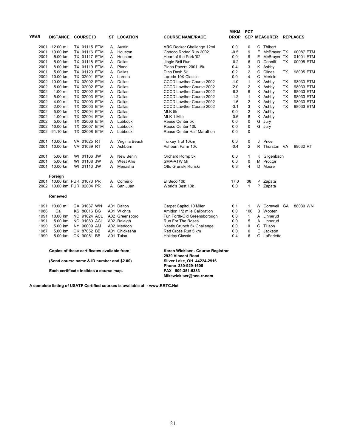| YEAR | <b>DISTANCE</b>            | <b>COURSE ID</b>    |   | <b>ST LOCATION</b> | <b>COURSE NAME/RACE</b>         | M/KM<br><b>DROP</b> | <b>PCT</b>     |   | <b>SEP MEASURER</b> |           | <b>REPLACES</b> |
|------|----------------------------|---------------------|---|--------------------|---------------------------------|---------------------|----------------|---|---------------------|-----------|-----------------|
| 2001 | 12.00 mi                   | <b>TX 01115 ETM</b> | A | Austin             | ARC Decker Challenge 12mi       | 0.0                 | 0              | С | Thibert             |           |                 |
| 2001 | 10.00 km                   | TX 01116 ETM        | A | Houston            | Conoco Rodeo Run 2002           | $-0.5$              | 9              | Ε | McBrayer TX         |           | 00087 ETM       |
| 2001 | 5.00 km                    | TX 01117 ETM        | A | Houston            | Heart of the Park '02           | 0.0                 | 8              | Е | McBrayer TX         |           | 01001 ETM       |
| 2001 | 5.00 km                    | TX 01118 ETM        | A | Dallas             | Jingle Bell Run                 | $-0.2$              | 6              | D | Canniff             | <b>TX</b> | 00095 ETM       |
| 2001 | 8.00 km                    | <b>TX 01119 ETM</b> | A | Plano              | Plano Pacers 2001 -8k           | 0.4                 | 3              |   | K Ashby             |           |                 |
| 2001 | 5.00 km                    | TX 01120 ETM        | A | Dallas             | Dino Dash 5k                    | 0.2                 | $\overline{2}$ | C | Clines              | TX        | 98005 ETM       |
| 2002 | 10.00 km                   | TX 02001 ETM        | A | Laredo             | Laredo 10K Classic              | 0.0                 | $\overline{4}$ | C | Mericle             |           |                 |
| 2002 | 10.00 km                   | TX 02002 ETM        | A | Dallas             | <b>CCCD Lawther Course 2002</b> | $-1.0$              | $\mathbf{1}$   |   | K Ashby             | <b>TX</b> | 98033 ETM       |
| 2002 | 5.00 km                    | TX 02002 ETM        | A | Dallas             | CCCD Lawther Course 2002        | $-2.0$              | $\overline{2}$ |   | K Ashby             | <b>TX</b> | 98033 ETM       |
| 2002 | $1.00$ mi                  | TX 02002 ETM        | A | Dallas             | <b>CCCD Lawther Course 2002</b> | $-6.3$              | 6              |   | K Ashby             | TX        | 98033 ETM       |
| 2002 | 5.00 mi                    | TX 02003 ETM        | A | Dallas             | <b>CCCD Lawther Course 2002</b> | $-1.2$              | $\mathbf{1}$   |   | K Ashby             | TX        | 98033 ETM       |
| 2002 | 4.00 mi                    | TX 02003 ETM        | A | Dallas             | <b>CCCD Lawther Course 2002</b> | $-1.6$              | $\overline{2}$ |   | K Ashby             | TX        | 98033 ETM       |
| 2002 | 2.00 mi                    | TX 02003 ETM        | A | Dallas             | <b>CCCD Lawther Course 2002</b> | $-3.1$              | 3              |   | K Ashby             | <b>TX</b> | 98033 ETM       |
| 2002 | 5.00 km                    | TX 02004 ETM        | А | Dallas             | MLK 5k                          | 0.0                 | $\overline{2}$ |   | K Ashby             |           |                 |
| 2002 | $1.00$ mil                 | TX 02004 ETM        | A | Dallas             | MLK 1 Mile                      | $-0.6$              | 8              |   | K Ashby             |           |                 |
| 2002 | 5.00 km                    | TX 02006 ETM        | A | Lubbock            | Reese Center 5k                 | 0.0                 | $\mathbf 0$    | G | Jury                |           |                 |
| 2002 | 10.00 km                   | TX 02007 ETM        | A | Lubbock            | Reese Center 10k                | 0.0                 | $\mathbf 0$    |   | G Jury              |           |                 |
| 2002 | 21.10 km                   | TX 02008 ETM        | A | Lubbock            | Reese Center Half Marathon      | 0.0                 | $\mathbf 0$    |   |                     |           |                 |
| 2001 | 10.00 km                   | VA 01025 RT         |   | Virginia Beach     | Turkey Trot 10km                | 0.0                 | 0              | J | Price               |           |                 |
| 2001 | 10.00 km                   | VA 01039 RT         | A | Ashburn            | Ashburn Farm 10k                | $-0.4$              | $\overline{2}$ |   | R Thurston VA       |           | 99032 RT        |
| 2001 | 5.00 km                    | WI 01106 JW         | A | <b>New Berlin</b>  | Orchard Romp 5k                 | 0.0                 | $\mathbf{1}$   |   | K Gilgenbach        |           |                 |
| 2001 | 5.00 km                    | WI 01108 JW         | А | <b>West Allis</b>  | SMA-ATW 5k                      | 0.0                 | $\mathbf 0$    |   | M Proctor           |           |                 |
| 2001 | 10.00 km                   | WI 01113 JW         | А | Menasha            | Otto Grunski Runski             | 0.3                 | 4              | D | Moore               |           |                 |
|      | Foreign                    |                     |   |                    |                                 |                     |                |   |                     |           |                 |
|      | 2001 10.00 km PUR 01073 PR |                     | A | Comerio            | El Seco 10k                     | 17.0                | 38             | P | Zapata              |           |                 |
| 2002 | 10.00 km PUR 02004 PR      |                     | A | San Juan           | World's Best 10k                | 0.0                 | $\mathbf{1}$   | P | Zapata              |           |                 |
|      | Renewed                    |                     |   |                    |                                 |                     |                |   |                     |           |                 |
| 1991 | 10.00 mi                   | GA 91037 WN         |   | A01 Dalton         | Carpet Capitol 10 Miler         | 0.1                 | 1              |   | W Cornwell GA       |           | 88030 WN        |
| 1986 | Cal                        | KS 86016 BG         |   | A01 Wichita        | Amidon 1/2 mile Calibration     | 0.0                 | 100            | B | Wooten              |           |                 |
| 1991 | 10.00 km                   | <b>NC 91024 ACL</b> |   | A02 Greensboro     | Fun Forth-Old Greensborough     | 0.0                 | $\mathbf{1}$   | A | Linnerud            |           |                 |
| 1991 | 5.00 km                    | <b>NC 91080 ACL</b> |   | A02 Raleigh        | <b>Run For The Roses</b>        | 0.0                 | 5              |   | A Linnerud          |           |                 |
| 1990 | 5.00 km                    | NY 90009 AM         |   | A02 Mendon         | Nestle Crunch 5k Challenge      | 0.0                 | $\mathbf 0$    | G | Tillson             |           |                 |
| 1987 | 5.00 km                    | OK 87052 BB         |   | A01 Chickasha      | Red Cross Run 5 km              | 0.0                 | 0              | E | Jackson             |           |                 |
| 1990 | 5.00 km                    | OK 90051 BB         |   | A01 Tulsa          | <b>Holiday Classic</b>          | 0.4                 | 6              | G | LaFarlette          |           |                 |
|      |                            |                     |   |                    |                                 |                     |                |   |                     |           |                 |

**Copies of these certificates available from:** 

**(Send course name & ID number and \$2.00)** 

Each certificate inclides a course map.

Karen Wickiser - Course Registrar<br>2939 Vincent Road **Phone 330-929-1605**<br>**Phone 330-929-1605**<br>**PAX 509-351-5383 Mikewickiser@neo.rr.com**

**A complete listing of USATF Certified courses is available at - www.RRTC.Net**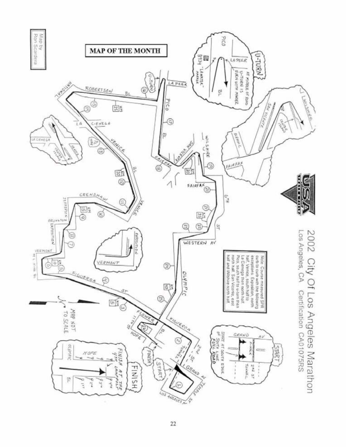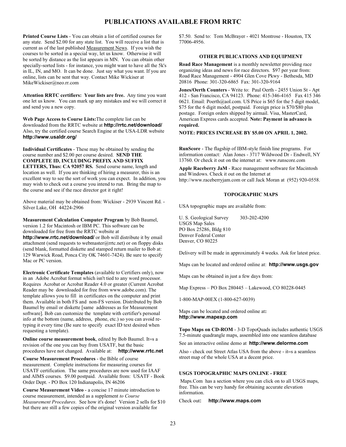#### **PUBLICATIONS AVAILABLE FROM RRTC**

**Printed Course Lists** - You can obtain a list of certified courses for any state. Send \$2.00 for any state list. You will receive a list that is current as of the last published Measurement News. If you wish the courses to be sorted in a special way, let us know. Otherwise it will be sorted by distance as the list appears in MN. You can obtain other specially-sorted lists - for instance, you might want to have all the 5k's in IL, IN, and MO. It can be done. Just say what you want. If you are online, lists can be sent that way. Contact Mike Wickiser at MikeWickiser@neo.rr.com

**Attention RRTC certifiers: Your lists are free.** Any time you want one let us know. You can mark up any mistakes and we will correct it and send you a new copy.

**Web Page Access to Course Lists:**The complete list can be downloaded from the RRTC website at **http://rrtc.net/download/** Also, try the certified course Search Engine at the USA-LDR website **http://www.usaldr.org/**

**Individual Certificates** - These may be obtained by sending the course number and \$2.00 per course desired. **SEND THE COMPLETE ID, INCLUDING PREFIX AND SUFFIX LETTERS, Thus: CA 92057 RS.** Send course name, length and location as well. If you are thinking of hiring a measurer, this is an excellent way to see the sort of work you can expect. In addition, you may wish to check out a course you intend to run. Bring the map to the course and see if the race director got it right!

Above material may be obtained from: Wickiser - 2939 Vincent Rd. - Silver Lake, OH 44224-2906

**Measurement Calculation Computer Program** by Bob Baumel, version 1.2 for Macintosh or IBM PC. This software can be downloaded for free from the RRTC website at

**http://www.rrtc.net/download/** or Bob will distribute it by email attachment (send requests to webmaster@rrtc.net) or on floppy disks (send blank, formatted diskette and stamped return mailer to Bob at: 129 Warwick Road, Ponca City OK 74601-7424). Be sure to specify Mac or PC version.

**Electronic Certificate Templates** (available to Certifiers only), now in an Adobe Acrobat format which isn't tied to any word processor. Requires Acrobat or Acrobat Reader 4.0 or greater (Current Acrobat Reader may be downloaded for free from www.adobe.com). The template allows you to fill in certificates on the computer and print them. Available in both FS and non-FS version. Distributed by Bob Baumel by email or diskette [same addresses as for Measurement software]. Bob can customize the template with certifier's personal info at the bottom (name, address, phone, etc.) so you can avoid retyping it every time (Be sure to specify exact ID text desired when requesting a template).

**Online course measurement book**, edited by Bob Baumel. It=s a revision of the one you can buy from USATF, but the basic procedures have not changed. Available at: **http://www.rrtc.net**

**Course Measurement Procedures** - the Bible of course measurement. Complete instructions for measuring courses for USATF certification. The same procedures are now used for IAAF and AIMS courses. \$9.00 postpaid. Available from: USATF - Book Order Dept. - PO Box 120 Indianapolis, IN 46206

**Course Measurement Video** - a concise 17 minute introduction to course measurement, intended as a supplement *to Course Measurement Procedures*. See how it's done! Version 2 sells for \$10 but there are still a few copies of the original version available for

\$7.50. Send to: Tom McBrayer - 4021 Montrose - Houston, TX 77006-4956.

#### **OTHER PUBLICATIONS AND EQUIPMENT**

**Road Race Management** is a monthly newsletter providing race organizing ideas and news for race directors. \$97 per year from: Road Race Management - 4904 Glen Cove Pkwy - Bethesda, MD 20816 Phone: 301-320-6865 Fax: 301-320-9164

**Jones/Oerth Counters** - Write to: Paul Oerth - 2455 Union St - Apt 412 - San Francisco, CA 94123. Phone: 415-346-4165 Fax 415 346 0621. Email: Poerth@aol.com. US Price is \$65 for the 5 digit model, \$75 for the 6 digit model, postpaid. Foreign price is \$70/\$80 plus postage. Foreign orders shipped by airmail. Visa, MasterCard, American Express cards accepted. **Note: Payment in advance is required.**

**NOTE: PRICES INCREASE BY \$5.00 ON APRIL 1, 2002.**

**RunScore** - The flagship of IBM-style finish line programs. For information contact: Alan Jones - 3717 Wildwood Dr - Endwell, NY 13760. Or check it out on the internet at: www.runscore.com

**Apple Raceberry JaM** - Race management software for Macintosh and Windows. Check it out on the Internet at http://www.raceberryjam.com or call Jack Moran at (952) 920-0558.

#### **TOPOGRAPHIC MAPS**

USA topographic maps are available from:

U. S. Geological Survey 303-202-4200 USGS Map Sales PO Box 25286, Bldg 810 Denver Federal Center Denver, CO 80225

Delivery will be made in approximately 4 weeks. Ask for latest price.

Maps can be located and ordered online at: **http://www.usgs.gov**

Maps can be obtained in just a few days from:

Map Express – PO Box 280445 – Lakewood, CO 80228-0445

1-800-MAP-00EX (1-800-627-0039)

Maps can be located and ordered online at**: http://www.mapexp.com**

**Topo Maps on CD-ROM** - 3-D TopoQuads includes authentic USGS 7.5-minute quadrangle maps, assembled into one seamless database

See an interactive online demo at **http://www.delorme.com**

Also - check out Street Atlas USA from the above - it=s a seamless street map of the whole USA at a decent price.

#### **USGS TOPOGRAPHIC MAPS ONLINE - FREE**

 Maps.Com has a section where you can click on to all USGS maps, free. This can be very handy for obtaining accurate elevation information.

Check out**: http://www.maps.com**